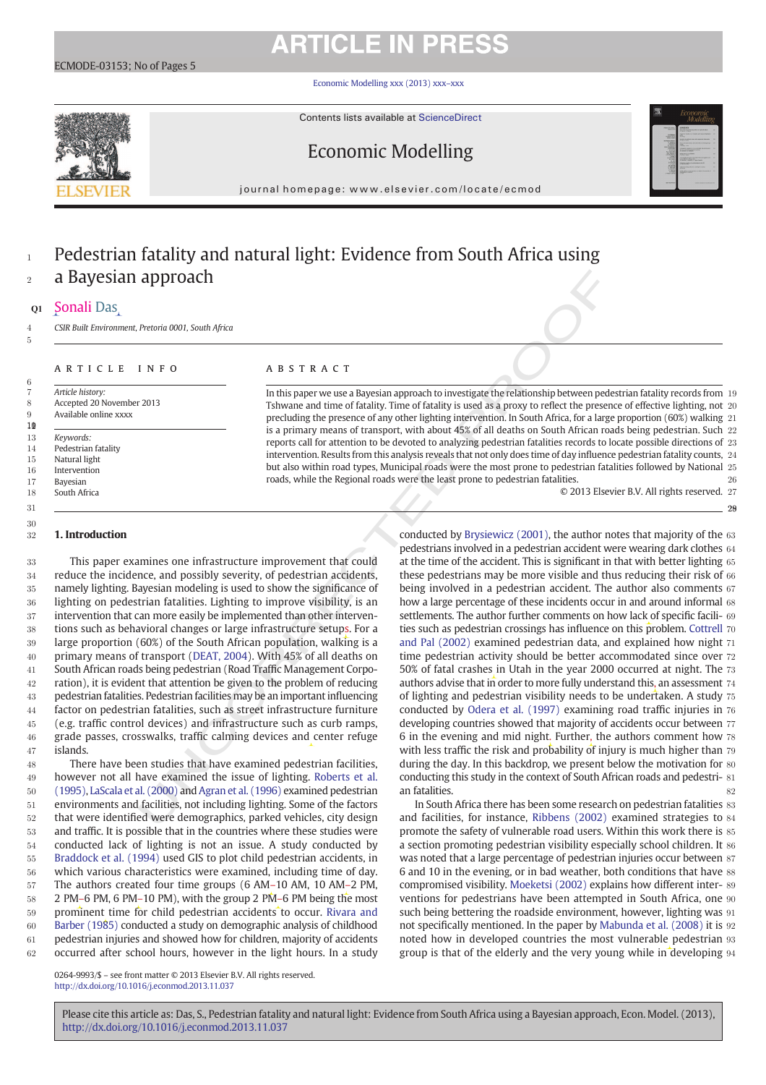# **ARTICLE IN PRESS**

Economic Modelling xxx (2013) xxx–xxx

Contents lists available at ScienceDirect

## Economic Modelling

journal homepage: www.elsevier.com/locate/ecmod

## <sup>1</sup> Pedestrian fatality and natural light: Evidence from South Africa using <sup>2</sup> a Bayesian approach

### <sup>3</sup>Q1 Sonali Das

5

6

30 31

4 *CSIR Built Environment, Pretoria 0001, South Africa*

### A R T I C L E I N F O A B S T R A C T

7 *Article history:* 8 Accepted 20 November 2013 9 Available online xxxx

 $10$  *Keywords:* Pedestrian fatality Natural light Intervention 17 Bayesian South Africa

### 32 1. Introduction

In this paper we use a Bayesian approach to investigate the relationship between pedestrian fatality records from 19 Tshwane and time of fatality. Time of fatality is used as a proxy to reflect the presence of effective lighting, not 20 precluding the presence of any other lighting intervention. In South Africa, for a large proportion (60%) walking 21 is a primary means of transport, with about 45% of all deaths on South African roads being pedestrian. Such 22 reports call for attention to be devoted to analyzing pedestrian fatalities records to locate possible directions of 23 intervention. Results from this analysis reveals that not only does time of day influence pedestrian fatality counts, 24 but also within road types, Municipal roads were the most prone to pedestrian fatalities followed by National 25 roads, while the Regional roads were the least prone to pedestrian fatalities. 26

© 2013 Elsevier B.V. All rights reserved. 27

28

 This paper examines one infrastructure improvement that could reduce the incidence, and possibly severity, of pedestrian accidents, namely lighting. Bayesian modeling is used to show the significance of lighting on pedestrian fatalities. Lighting to improve visibility, is an intervention that can more easily be implemented than other interven- tions such as behavioral changes or large infrastructure setups. For a large proportion (60%) of the South African population, walking is a primary means of transport (DEAT, 2004). With 45% of all deaths on South African roads being pedestrian (Road Traffic Management Corpo-42 ration), it is evident that attention be given to the problem of reducing pedestrian fatalities. Pedestrian facilities may be an important influencing factor on pedestrian fatalities, such as street infrastructure furniture (e.g. traffic control devices) and infrastructure such as curb ramps, grade passes, crosswalks, traffic calming devices and center refuge 47 islands.

 There have been studies that have examined pedestrian facilities, however not all have examined the issue of lighting. Roberts et al. (1995), LaScala et al. (2000) and Agran et al. (1996) examined pedestrian environments and facilities, not including lighting. Some of the factors that were identified were demographics, parked vehicles, city design and traffic. It is possible that in the countries where these studies were conducted lack of lighting is not an issue. A study conducted by Braddock et al. (1994) used GIS to plot child pedestrian accidents, in which various characteristics were examined, including time of day. The authors created four time groups (6 AM–10 AM, 10 AM–2 PM, 58 2 PM–6 PM, 6 PM–10 PM), with the group 2 PM–6 PM being the most 59 prominent time for child pedestrian accidents to occur. Rivara and Barber (1985) conducted a study on demographic analysis of childhood pedestrian injuries and showed how for children, majority of accidents occurred after school hours, however in the light hours. In a study

**APPITOR CONTRACT PERIMPER CONSULTER CONTRACT PERIMPER CONSULTER CONSULTER CONTRACT INTERFERENCE CONSULTER CONSULTER CONSULTER CONSULTER CONSULTER CONSULTER CONSULTER CONSULTER CONSULTER CONSULTER CONSULTER CONSULTER CONS** conducted by Brysiewicz (2001), the author notes that majority of the 63 pedestrians involved in a pedestrian accident were wearing dark clothes 64 at the time of the accident. This is significant in that with better lighting 65 these pedestrians may be more visible and thus reducing their risk of 66 being involved in a pedestrian accident. The author also comments 67 how a large percentage of these incidents occur in and around informal 68 settlements. The author further comments on how lack of specific facili- 69 ties such as pedestrian crossings has influence on this problem. Cottrell 70 and Pal (2002) examined pedestrian data, and explained how night 71 time pedestrian activity should be better accommodated since over 72 50% of fatal crashes in Utah in the year 2000 occurred at night. The 73 authors advise that in order to more fully understand this, an assessment 74 , of lighting and pedestrian visibility needs to be undertaken. A study 75 conducted by Odera et al. (1997) examining road traffic injuries in 76 developing countries showed that majority of accidents occur between 77 6 in the evening and mid night. Further, the authors comment how 78 with less traffic the risk and probability of injury is much higher than 79 during the day. In this backdrop, we present below the motivation for 80 conducting this study in the context of South African roads and pedestri- 81 an fatalities. 82

In South Africa there has been some research on pedestrian fatalities 83 and facilities, for instance, Ribbens (2002) examined strategies to 84 promote the safety of vulnerable road users. Within this work there is 85 a section promoting pedestrian visibility especially school children. It 86 was noted that a large percentage of pedestrian injuries occur between 87 6 and 10 in the evening, or in bad weather, both conditions that have 88 compromised visibility. Moeketsi (2002) explains how different inter- 89 ventions for pedestrians have been attempted in South Africa, one 90 such being bettering the roadside environment, however, lighting was 91 not specifically mentioned. In the paper by Mabunda et al. (2008) it is 92 noted how in developed countries the most vulnerable pedestrian 93 group is that of the elderly and the very young while in developing 94

0264-9993/\$ – see front matter © 2013 Elsevier B.V. All rights reserved. http://dx.doi.org/10.1016/j.econmod.2013.11.037

Please cite this article as: Das, S., Pedestrian fatality and natural light: Evidence from South Africa using a Bayesian approach, Econ. Model. (2013), http://dx.doi.org/10.1016/j.econmod.2013.11.037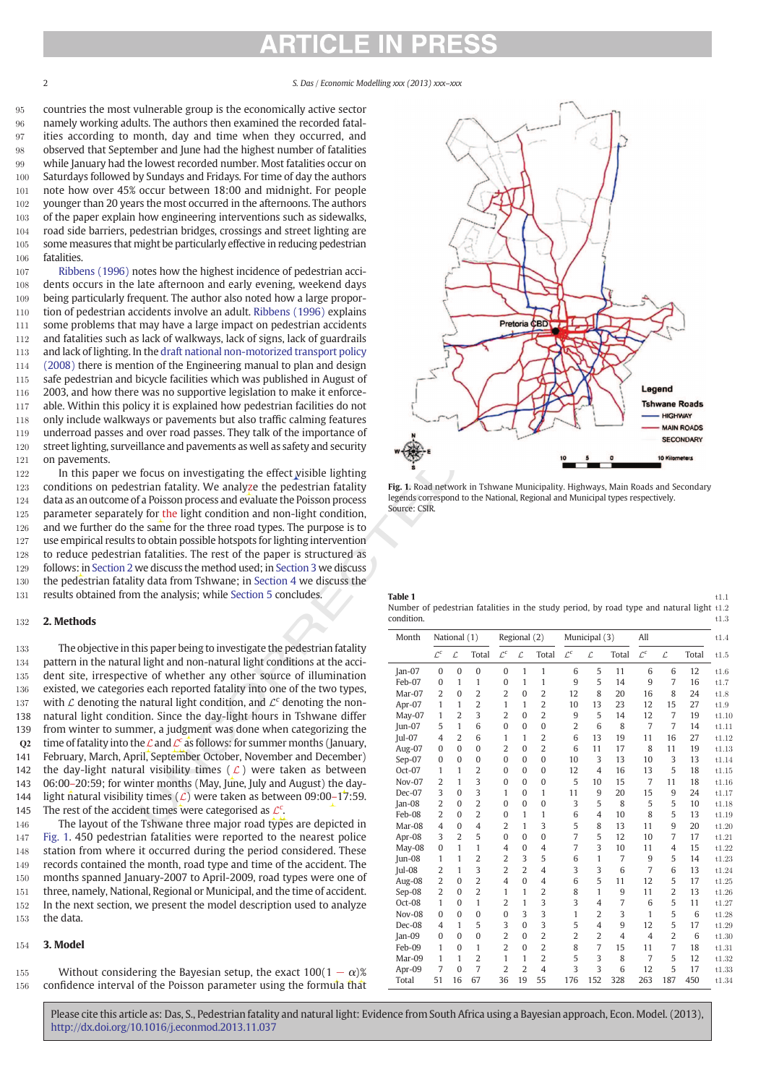countries the most vulnerable group is the economically active sector namely working adults. The authors then examined the recorded fatal- ities according to month, day and time when they occurred, and observed that September and June had the highest number of fatalities while January had the lowest recorded number. Most fatalities occur on 100 Saturdays followed by Sundays and Fridays. For time of day the authors note how over 45% occur between 18:00 and midnight. For people 102 younger than 20 years the most occurred in the afternoons. The authors of the paper explain how engineering interventions such as sidewalks, road side barriers, pedestrian bridges, crossings and street lighting are 105 some measures that might be particularly effective in reducing pedestrian fatalities.

 Ribbens (1996) notes how the highest incidence of pedestrian acci- dents occurs in the late afternoon and early evening, weekend days being particularly frequent. The author also noted how a large propor- tion of pedestrian accidents involve an adult. Ribbens (1996) explains 111 some problems that may have a large impact on pedestrian accidents and fatalities such as lack of walkways, lack of signs, lack of guardrails and lack of lighting. In the draft national non-motorized transport policy (2008) there is mention of the Engineering manual to plan and design 115 safe pedestrian and bicycle facilities which was published in August of 2003, and how there was no supportive legislation to make it enforce- able. Within this policy it is explained how pedestrian facilities do not only include walkways or pavements but also traffic calming features underroad passes and over road passes. They talk of the importance of 120 street lighting, surveillance and pavements as well as safety and security on pavements.

122 In this paper we focus on investigating the effect visible lighting 123 conditions on pedestrian fatality. We analyze the pedestrian fatality 124 data as an outcome of a Poisson process and evaluate the Poisson process 125 parameter separately for the light condition and non-light condition, 126 and we further do the same for the three road types. The purpose is to 127 use empirical results to obtain possible hotspots for lighting intervention 128 to reduce pedestrian fatalities. The rest of the paper is structured as 129 follows: in Section 2 we discuss the method used; in Section 3 we discuss 130 the pedestrian fatality data from Tshwane; in Section 4 we discuss the 131 results obtained from the analysis; while Section 5 concludes.

### 132 2. Methods

 The objective in this paper being to investigate the pedestrian fatality pattern in the natural light and non-natural light conditions at the acci- dent site, irrespective of whether any other source of illumination existed, we categories each reported fatality into one of the two types, 137 with  $\mathcal L$  denoting the natural light condition, and  $\mathcal L^c$  denoting the non- natural light condition. Since the day-light hours in Tshwane differ from winter to summer, a judgment was done when categorizing the er **Q2** time of fatality into the  $\mathcal{L}$  and  $\mathcal{L}^c$  as follows: for summer months (January, February, March, April, September October, November and December) 142 the day-light natural visibility times ( $\mathcal{L}$ ) were taken as between 06:00–20:59; for winter months (May, June, July and August) the day-144 light natural visibility times  $(\mathcal{L})$  were taken as between 09:00–17:59.<br>145 The rest of the accident times were categorised as  $\mathcal{L}^c$ . 145 The rest of the accident times were categorised as  $\mathcal{L}^c$ .

146 The layout of the Tshwane three major road types are depicted in Fig. 1. 450 pedestrian fatalities were reported to the nearest police 148 station from where it occurred during the period considered. These records contained the month, road type and time of the accident. The months spanned January-2007 to April-2009, road types were one of three, namely, National, Regional or Municipal, and the time of accident. In the next section, we present the model description used to analyze the data.

### 154 3. Model

155 Without considering the Bayesian setup, the exact  $100(1 - \alpha)$ % 156 confidence interval of the Poisson parameter using the formula that



Fig. 1. Road network in Tshwane Municipality. Highways, Main Roads and Secondary legends correspond to the National, Regional and Municipal types respectively. Source: CSIR.

| <b>Table 1</b>                                                                             | t.1.1 |
|--------------------------------------------------------------------------------------------|-------|
| Number of pedestrian fatalities in the study period, by road type and natural light $t1.2$ |       |
| condition.                                                                                 | t.1.3 |

| Month         |                 | National (1)   |                | Regional (2)    |                | Municipal (3)  |                 | All            |                |                 |                                     |       |
|---------------|-----------------|----------------|----------------|-----------------|----------------|----------------|-----------------|----------------|----------------|-----------------|-------------------------------------|-------|
|               | $\mathcal{L}^c$ | L              | Total          | $\mathcal{L}^c$ | Ľ              | Total          | $\mathcal{L}^c$ | L              | Total          | $\mathcal{L}^c$ | $\mathcal{L}% _{G}=\mathcal{L}_{G}$ | Total |
| $Jan-07$      | $\Omega$        | $\theta$       | $\mathbf{0}$   | $\Omega$        | 1              | $\mathbf{1}$   | 6               | 5              | 11             | 6               | 6                                   | 12    |
| Feb-07        | $\mathbf{0}$    | 1              | $\mathbf{1}$   | $\mathbf{0}$    | 1              | 1              | 9               | 5              | 14             | 9               | 7                                   | 16    |
| Mar-07        | $\overline{2}$  | $\Omega$       | $\overline{2}$ | $\overline{2}$  | $\Omega$       | $\overline{2}$ | 12              | 8              | 20             | 16              | 8                                   | 24    |
| Apr-07        | 1               | 1              | $\overline{2}$ | $\mathbf{1}$    | 1              | $\overline{2}$ | 10              | 13             | 23             | 12              | 15                                  | 27    |
| May-07        | 1               | $\overline{2}$ | 3              | $\overline{2}$  | $\Omega$       | $\overline{2}$ | 9               | 5              | 14             | 12              | 7                                   | 19    |
| Jun-07        | 5               | $\mathbf{1}$   | 6              | $\theta$        | $\Omega$       | $\mathbf{0}$   | $\overline{2}$  | 6              | 8              | 7               | $\overline{7}$                      | 14    |
| Iul-07        | $\overline{4}$  | $\overline{2}$ | 6              | $\mathbf{1}$    | 1              | $\overline{2}$ | 6               | 13             | 19             | 11              | 16                                  | 27    |
| Aug-07        | $\Omega$        | $\theta$       | $\Omega$       | $\overline{2}$  | $\Omega$       | $\overline{2}$ | 6               | 11             | 17             | 8               | 11                                  | 19    |
| Sep-07        | $\Omega$        | $\Omega$       | $\mathbf{0}$   | $\Omega$        | $\Omega$       | $\mathbf{0}$   | 10              | 3              | 13             | 10              | 3                                   | 13    |
| Oct-07        | 1               | $\mathbf{1}$   | $\overline{2}$ | $\Omega$        | $\Omega$       | $\bf{0}$       | 12              | $\overline{4}$ | 16             | 13              | 5                                   | 18    |
| <b>Nov-07</b> | $\overline{2}$  | $\mathbf{1}$   | 3              | $\Omega$        | $\Omega$       | $\mathbf{0}$   | 5               | 10             | 15             | 7               | 11                                  | 18    |
| Dec-07        | 3               | $\theta$       | 3              | 1               | $\Omega$       | 1              | 11              | 9              | 20             | 15              | 9                                   | 24    |
| $Jan-08$      | $\overline{2}$  | $\theta$       | $\overline{2}$ | $\Omega$        | $\Omega$       | $\mathbf{0}$   | 3               | 5              | 8              | 5               | 5                                   | 10    |
| Feb-08        | $\overline{2}$  | $\theta$       | $\overline{2}$ | $\theta$        | 1              | $\mathbf{1}$   | 6               | $\overline{4}$ | 10             | 8               | 5                                   | 13    |
| Mar-08        | $\overline{4}$  | $\theta$       | $\overline{4}$ | $\overline{2}$  | 1              | 3              | 5               | 8              | 13             | 11              | 9                                   | 20    |
| Apr-08        | 3               | $\overline{2}$ | 5              | $\Omega$        | $\Omega$       | $\theta$       | 7               | 5              | 12             | 10              | $\overline{7}$                      | 17    |
| May-08        | $\Omega$        | $\mathbf{1}$   | $\mathbf{1}$   | $\overline{4}$  | $\Omega$       | $\overline{4}$ | 7               | 3              | 10             | 11              | 4                                   | 15    |
| Jun-08        | 1               | $\mathbf{1}$   | $\overline{2}$ | $\overline{2}$  | 3              | 5              | 6               | 1              | 7              | 9               | 5                                   | 14    |
| $ ul-08$      | $\overline{2}$  | 1              | 3              | $\overline{2}$  | $\overline{2}$ | $\overline{4}$ | 3               | 3              | 6              | 7               | 6                                   | 13    |
| Aug-08        | $\overline{2}$  | $\Omega$       | $\overline{2}$ | $\overline{4}$  | $\Omega$       | $\overline{4}$ | 6               | 5              | 11             | 12              | 5                                   | 17    |
| Sep-08        | $\overline{2}$  | $\Omega$       | $\overline{2}$ | $\mathbf{1}$    | 1              | $\overline{2}$ | 8               | $\mathbf{1}$   | 9              | 11              | $\overline{2}$                      | 13    |
| Oct-08        | 1               | $\Omega$       | $\mathbf{1}$   | $\overline{2}$  | 1              | 3              | 3               | $\overline{4}$ | 7              | 6               | 5                                   | 11    |
| Nov-08        | $\Omega$        | $\Omega$       | $\Omega$       | $\theta$        | 3              | 3              | 1               | $\overline{2}$ | 3              | $\mathbf{1}$    | 5                                   | 6     |
| Dec-08        | $\overline{4}$  | $\mathbf{1}$   | 5              | 3               | $\Omega$       | 3              | 5               | $\overline{4}$ | 9              | 12              | 5                                   | 17    |
| $Jan-09$      | $\Omega$        | $\Omega$       | $\Omega$       | $\overline{2}$  | $\Omega$       | $\overline{2}$ | $\overline{2}$  | $\overline{2}$ | $\overline{4}$ | $\overline{4}$  | $\overline{2}$                      | 6     |
| Feb-09        | 1               | $\Omega$       | $\mathbf{1}$   | $\overline{2}$  | $\Omega$       | $\overline{2}$ | 8               | 7              | 15             | 11              | 7                                   | 18    |
| Mar-09        | 1               | 1              | $\overline{2}$ | 1               | 1              | $\overline{2}$ | 5               | 3              | 8              | 7               | 5                                   | 12    |
| Apr-09        | 7               | $\Omega$       | $\overline{7}$ | $\overline{2}$  | $\overline{2}$ | $\overline{4}$ | 3               | 3              | 6              | 12              | 5                                   | 17    |
| Total         | 51              | 16             | 67             | 36              | 19             | 55             | 176             | 152            | 328            | 263             | 187                                 | 450   |

Please cite this article as: Das, S., Pedestrian fatality and natural light: Evidence from South Africa using a Bayesian approach, Econ. Model. (2013), http://dx.doi.org/10.1016/j.econmod.2013.11.037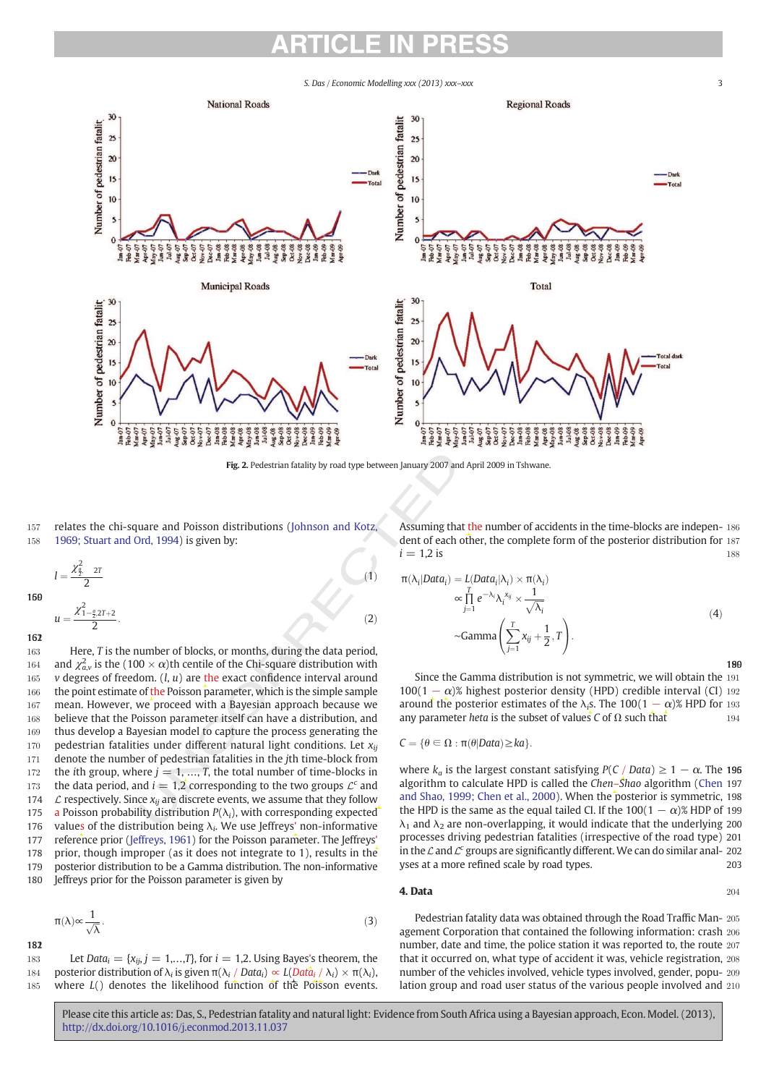

Fig. 2. Pedestrian fatality by road type between January 2007 and April 2009 in Tshwane.

π λ*<sup>i</sup>*

157 relates the chi-square and Poisson distributions (Johnson and Kotz, 158 1969; Stuart and Ord, 1994) is given by:

$$
l = \frac{\chi_{\frac{p}{2}}^2 - 2T}{2}
$$
\n
$$
u = \frac{\chi_{1-\frac{p}{2}}^2 - 2T + 2}{2}.
$$
\n(1)

163 Here, *T* is the number of blocks, or months, during the data period, 164 and  $\chi^2_{a,v}$  is the (100  $\times$   $\alpha$ )th centile of the Chi-square distribution with 165 *v* degrees of freedom. (*l*, *u*) are the exact confidence interval around 166 the point estimate of the Poisson parameter, which is the simple sample 167 mean. However, we proceed with a Bayesian approach because we 168 believe that the Poisson parameter itself can have a distribution, and 169 thus develop a Bayesian model to capture the process generating the 170 pedestrian fatalities under different natural light conditions. Let *xij* 171 denote the number of pedestrian fatalities in the *j*th time-block from 172 the *i*th group, where  $j = 1, ..., T$ , the total number of time-blocks in 173 the data period, and  $i = 1,2$  corresponding to the two groups  $\mathcal{L}^c$  and 174 L respectively. Since  $x_{ij}$  are discrete events, we assume that they follow<br>175 a Poisson probability distribution  $P(\lambda_i)$ , with corresponding expected a Poisson probability distribution  $P(\lambda_i)$ , with corresponding expected 176 values of the distribution being  $\lambda_i$ . We use Jeffreys' non-informative 177 reference prior (Jeffreys, 1961) for the Poisson parameter. The Jeffreys' 178 prior, though improper (as it does not integrate to 1), results in the 179 posterior distribution to be a Gamma distribution. The non-informative 180 Jeffreys prior for the Poisson parameter is given by

$$
\pi(\lambda) \infty \frac{1}{\sqrt{\lambda}}.\tag{3}
$$

1812

183 Let *Data*<sub>*i*</sub> = { $x_{ij}$ , *j* = 1,...,*T*}, for *i* = 1,2. Using Bayes's theorem, the 184 posterior distribution of  $λ_i$  is given  $π(λ_i / Data_i) ≈ L(Dat\hat{a}_i / λ_i) × π(λ_i)$ , 185 where *L*() denotes the likelihood function of the Poisson events. Assuming that the number of accidents in the time-blocks are indepen- 186 dent of each other, the complete form of the posterior distribution for 187  $i = 1,2$  is 188

$$
\mathbf{r}(\lambda_i|Data_i) = L(Data_i|\lambda_i) \times \pi(\lambda_i)
$$
  
\n
$$
\propto \prod_{j=1}^T e^{-\lambda_i} \lambda_i^{x_{ij}} \times \frac{1}{\sqrt{\lambda_i}}
$$
  
\n
$$
\sim \text{Gamma}\left(\sum_{j=1}^T x_{ij} + \frac{1}{2}, T\right).
$$
\n(4)

Since the Gamma distribution is not symmetric, we will obtain the 191  $100(1 - \alpha)$ % highest posterior density (HPD) credible interval (CI) 192 around the posterior estimates of the  $\lambda_i$ s. The 100(1 –  $\alpha$ )% HPD for 193 any parameter *heta* is the subset of values *C* of  $\Omega$  such that 194

$$
C = \{\theta \in \Omega : \pi(\theta | Data) \geq ka\}.
$$

where  $k_a$  is the largest constant satisfying  $P(C / Data) \ge 1 - \alpha$ . The 196 algorithm to calculate HPD is called the *Chen*–*Shao* algorithm (Chen 197 and Shao, 1999; Chen et al., 2000). When the posterior is symmetric, 198 ). the HPD is the same as the equal tailed CI. If the  $100(1 - \alpha)$ % HDP of 199  $\lambda_1$  and  $\lambda_2$  are non-overlapping, it would indicate that the underlying 200 processes driving pedestrian fatalities (irrespective of the road type) 201 in the  $\mathcal L$  and  $\mathcal L^c$  groups are significantly different. We can do similar anal- 202 yses at a more refined scale by road types. 203

**4. Data** 204

Pedestrian fatality data was obtained through the Road Traffic Man- 205 agement Corporation that contained the following information: crash 206 number, date and time, the police station it was reported to, the route 207 that it occurred on, what type of accident it was, vehicle registration, 208 number of the vehicles involved, vehicle types involved, gender, popu- 209 lation group and road user status of the various people involved and 210

Please cite this article as: Das, S., Pedestrian fatality and natural light: Evidence from South Africa using a Bayesian approach, Econ. Model. (2013), http://dx.doi.org/10.1016/j.econmod.2013.11.037

190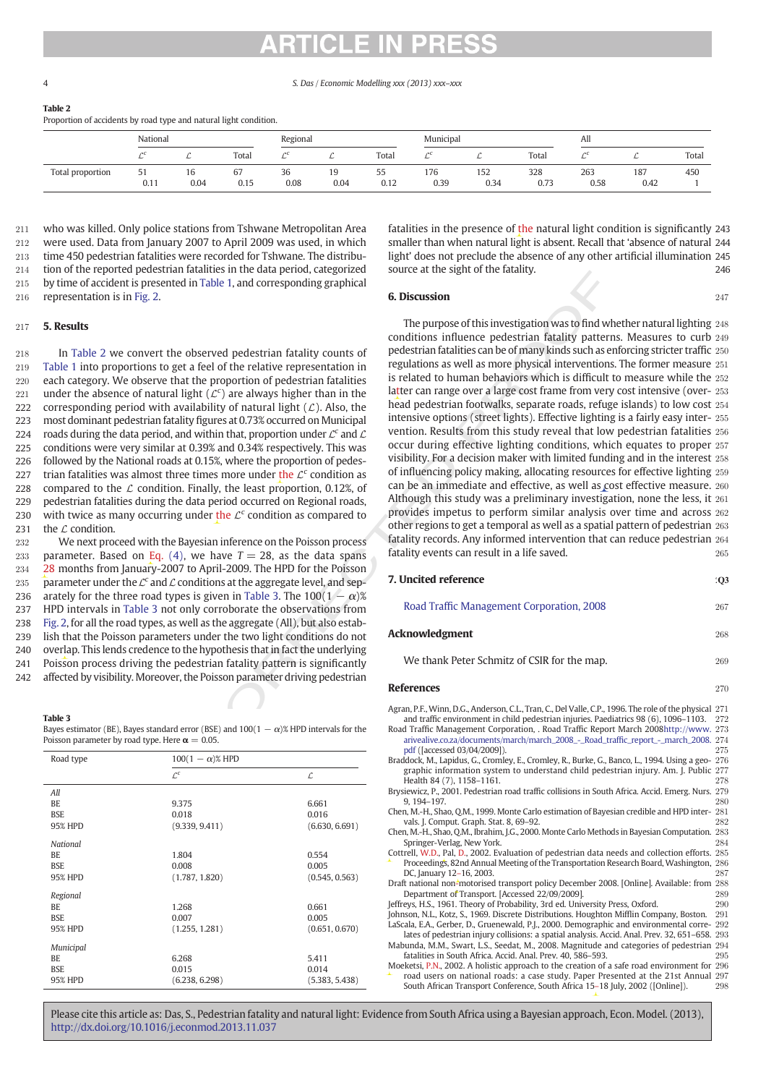Table 2

Proportion of accidents by road type and natural light condition.

|                  | National   |            |                      | Regional   |            |                     | Municipal   |             |             | All         |             |       |
|------------------|------------|------------|----------------------|------------|------------|---------------------|-------------|-------------|-------------|-------------|-------------|-------|
|                  | ÷          |            | Total                |            | v          | Total               |             |             | Total       | ~           |             | Total |
| Total proportion | JI<br>0.11 | 16<br>0.04 | $\sim$<br>67<br>0.15 | 36<br>0.08 | 19<br>0.04 | $- -$<br>ັບ<br>0.12 | 176<br>0.39 | 152<br>0.34 | 328<br>0.73 | 263<br>0.58 | 187<br>0.42 | 450   |

 who was killed. Only police stations from Tshwane Metropolitan Area were used. Data from January 2007 to April 2009 was used, in which time 450 pedestrian fatalities were recorded for Tshwane. The distribu- tion of the reported pedestrian fatalities in the data period, categorized by time of accident is presented in Table 1, and corresponding graphical representation is in Fig. 2.

#### 217 5. Results

218 In Table 2 we convert the observed pedestrian fatality counts of 219 Table 1 into proportions to get a feel of the relative representation in 220 each category. We observe that the proportion of pedestrian fatalities 221 under the absence of natural light  $(\mathcal{L}^c)$  are always higher than in the 222 corresponding period with availability of natural light  $(L)$ . Also, the 223 most dominant pedestrian fatality figures at 0.73% occurred on Municipal 224 roads during the data period, and within that, proportion under  $\mathcal{L}^c$  and  $\mathcal{L}$ 225 conditions were very similar at 0.39% and 0.34% respectively. This was 226 followed by the National roads at 0.15%, where the proportion of pedes-227 trian fatalities was almost three times more under the  $\mathcal{L}^c$  condition as 228 compared to the  $\mathcal L$  condition. Finally, the least proportion, 0.12%, of 229 pedestrian fatalities during the data period occurred on Regional roads, 230 with twice as many occurring under the  $\mathcal{L}^c$  condition as compared to 231 the  $\mathcal L$  condition.

 We next proceed with the Bayesian inference on the Poisson process 233 parameter. Based on Eq.  $(4)$ , we have  $T = 28$ , as the data spans 28 months from January-2007 to April-2009. The HPD for the Poisson 235 parameter under the  $\mathcal{L}^c$  and  $\mathcal L$  conditions at the aggregate level, and sep-236 arately for the three road types is given in Table 3. The  $100(1 - \alpha)$ % HPD intervals in Table 3 not only corroborate the observations from Fig. 2, for all the road types, as well as the aggregate (All), but also estab- lish that the Poisson parameters under the two light conditions do not overlap. This lends credence to the hypothesis that in fact the underlying Poisson process driving the pedestrian fatality pattern is significantly affected by visibility. Moreover, the Poisson parameter driving pedestrian

#### Table 3

Bayes estimator (BE), Bayes standard error (BSE) and  $100(1 - \alpha)$ % HPD intervals for the Poisson parameter by road type. Here  $\alpha = 0.05$ .

| Road type       | $100(1 - \alpha)$ % HPD |                |
|-----------------|-------------------------|----------------|
|                 | $\mathcal{L}^c$         | L              |
| All             |                         |                |
| BE              | 9.375                   | 6.661          |
| <b>BSE</b>      | 0.018                   | 0.016          |
| 95% HPD         | (9.339, 9.411)          | (6.630, 6.691) |
| <b>National</b> |                         |                |
| BE.             | 1.804                   | 0.554          |
| <b>BSE</b>      | 0.008                   | 0.005          |
| <b>95% HPD</b>  | (1.787, 1.820)          | (0.545, 0.563) |
| Regional        |                         |                |
| BE.             | 1.268                   | 0.661          |
| <b>BSE</b>      | 0.007                   | 0.005          |
| 95% HPD         | (1.255, 1.281)          | (0.651, 0.670) |
| Municipal       |                         |                |
| BE.             | 6.268                   | 5.411          |
| <b>BSE</b>      | 0.015                   | 0.014          |
| 95% HPD         | (6.238, 6.298)          | (5.383, 5.438) |

fatalities in the presence of the natural light condition is significantly 243 smaller than when natural light is absent. Recall that 'absence of natural 244 light' does not preclude the absence of any other artificial illumination 245 source at the sight of the fatality. 246

#### **6. Discussion** 247

|           | rcucstriam ialamnes in the uala period, calegorized<br>presented in Table 1, and corresponding graphical |                                     | source at the sight of the fatality.                                                                                                                                                     |            |
|-----------|----------------------------------------------------------------------------------------------------------|-------------------------------------|------------------------------------------------------------------------------------------------------------------------------------------------------------------------------------------|------------|
| ig. $2$ . |                                                                                                          |                                     | <b>6. Discussion</b>                                                                                                                                                                     | 247        |
|           |                                                                                                          |                                     | The purpose of this investigation was to find whether natural lighting 248                                                                                                               |            |
|           |                                                                                                          |                                     | conditions influence pedestrian fatality patterns. Measures to curb 249                                                                                                                  |            |
|           |                                                                                                          |                                     | pedestrian fatalities can be of many kinds such as enforcing stricter traffic 250                                                                                                        |            |
|           | nvert the observed pedestrian fatality counts of                                                         |                                     | regulations as well as more physical interventions. The former measure 251                                                                                                               |            |
|           | ions to get a feel of the relative representation in                                                     |                                     |                                                                                                                                                                                          |            |
|           | bserve that the proportion of pedestrian fatalities                                                      |                                     | is related to human behaviors which is difficult to measure while the 252                                                                                                                |            |
|           | f natural light $(\mathcal{L}^c)$ are always higher than in the                                          |                                     | latter can range over a large cost frame from very cost intensive (over- 253                                                                                                             |            |
|           | d with availability of natural light $(L)$ . Also, the                                                   |                                     | head pedestrian footwalks, separate roads, refuge islands) to low cost 254                                                                                                               |            |
|           | strian fatality figures at 0.73% occurred on Municipal                                                   |                                     | intensive options (street lights). Effective lighting is a fairly easy inter-255                                                                                                         |            |
|           | period, and within that, proportion under $\mathcal{L}^c$ and $\mathcal{L}$                              |                                     | vention. Results from this study reveal that low pedestrian fatalities 256                                                                                                               |            |
|           | similar at 0.39% and 0.34% respectively. This was                                                        |                                     | occur during effective lighting conditions, which equates to proper 257                                                                                                                  |            |
|           |                                                                                                          |                                     | visibility. For a decision maker with limited funding and in the interest 258                                                                                                            |            |
|           | onal roads at 0.15%, where the proportion of pedes-                                                      |                                     | of influencing policy making, allocating resources for effective lighting 259                                                                                                            |            |
|           | lmost three times more under the $\mathcal{L}^c$ condition as                                            |                                     | can be an immediate and effective, as well as cost effective measure. 260                                                                                                                |            |
|           | condition. Finally, the least proportion, 0.12%, of                                                      |                                     |                                                                                                                                                                                          |            |
|           | luring the data period occurred on Regional roads,                                                       |                                     | Although this study was a preliminary investigation, none the less, it 261                                                                                                               |            |
|           | occurring under the $\mathcal{L}^c$ condition as compared to                                             |                                     | provides impetus to perform similar analysis over time and across 262                                                                                                                    |            |
|           |                                                                                                          |                                     | other regions to get a temporal as well as a spatial pattern of pedestrian 263                                                                                                           |            |
|           | with the Bayesian inference on the Poisson process                                                       |                                     | fatality records. Any informed intervention that can reduce pedestrian 264                                                                                                               |            |
|           | n Eq. (4), we have $T = 28$ , as the data spans                                                          |                                     | fatality events can result in a life saved.                                                                                                                                              | 265        |
|           | uary-2007 to April-2009. The HPD for the Poisson                                                         |                                     |                                                                                                                                                                                          |            |
|           | $\mathcal{L}^c$ and $\mathcal{L}$ conditions at the aggregate level, and sep-                            |                                     | 7. Uncited reference                                                                                                                                                                     | $\cdot$ Q3 |
|           | road types is given in Table 3. The $100(1 - \alpha)$ %                                                  |                                     |                                                                                                                                                                                          |            |
|           | ble 3 not only corroborate the observations from                                                         |                                     | Road Traffic Management Corporation, 2008                                                                                                                                                | 267        |
|           |                                                                                                          |                                     |                                                                                                                                                                                          |            |
|           | types, as well as the aggregate (All), but also estab-                                                   |                                     | <b>Acknowledgment</b>                                                                                                                                                                    | 268        |
|           | parameters under the two light conditions do not                                                         |                                     |                                                                                                                                                                                          |            |
|           | edence to the hypothesis that in fact the underlying                                                     |                                     |                                                                                                                                                                                          |            |
|           | ing the pedestrian fatality pattern is significantly                                                     |                                     | We thank Peter Schmitz of CSIR for the map.                                                                                                                                              | 269        |
|           | Moreover, the Poisson parameter driving pedestrian                                                       |                                     | <b>References</b>                                                                                                                                                                        | 270        |
|           |                                                                                                          |                                     |                                                                                                                                                                                          |            |
|           |                                                                                                          |                                     | Agran, P.F., Winn, D.G., Anderson, C.L., Tran, C., Del Valle, C.P., 1996. The role of the physical 271                                                                                   |            |
|           |                                                                                                          |                                     | and traffic environment in child pedestrian injuries. Paediatrics 98 (6), 1096–1103. 272                                                                                                 |            |
|           | es standard error (BSE) and $100(1 - \alpha)$ % HPD intervals for the                                    |                                     | Road Traffic Management Corporation, . Road Traffic Report March 2008http://www. 273                                                                                                     |            |
|           | d type. Here $\alpha = 0.05$ .                                                                           |                                     | arivealive.co.za/documents/march/march_2008_-_Road_traffic_report_-_march_2008. 274<br>pdf (Jaccessed 03/04/2009]).                                                                      | 275        |
|           | $100(1 - \alpha)$ % HPD                                                                                  |                                     | Braddock, M., Lapidus, G., Cromley, E., Cromley, R., Burke, G., Banco, L., 1994. Using a geo- 276                                                                                        |            |
|           | $\mathcal{L}^c$                                                                                          | $\mathcal{L}% _{G}=\mathcal{L}_{G}$ | graphic information system to understand child pedestrian injury. Am. J. Public 277                                                                                                      |            |
|           |                                                                                                          |                                     | Health 84 (7), 1158-1161.                                                                                                                                                                | 278        |
|           |                                                                                                          |                                     | Brysiewicz, P., 2001. Pedestrian road traffic collisions in South Africa. Accid. Emerg. Nurs. 279<br>9, 194-197.                                                                         | 280        |
|           | 9.375<br>0.018                                                                                           | 6.661<br>0.016                      | Chen, M.-H., Shao, Q.M., 1999. Monte Carlo estimation of Bayesian credible and HPD inter-281                                                                                             |            |
|           | (9.339, 9.411)                                                                                           | (6.630, 6.691)                      | vals. J. Comput. Graph. Stat. 8, 69-92.                                                                                                                                                  | 282        |
|           |                                                                                                          |                                     | Chen, M.-H., Shao, Q.M., Ibrahim, J.G., 2000. Monte Carlo Methods in Bayesian Computation. 283                                                                                           |            |
|           |                                                                                                          |                                     | Springer-Verlag, New York.                                                                                                                                                               | 284        |
|           | 1.804                                                                                                    | 0.554                               | Cottrell, W.D., Pal, D., 2002. Evaluation of pedestrian data needs and collection efforts. 285<br>Proceedings, 82nd Annual Meeting of the Transportation Research Board, Washington, 286 |            |
|           | 0.008                                                                                                    | 0.005                               | DC, January 12-16, 2003.                                                                                                                                                                 | 287        |
|           | (1.787, 1.820)                                                                                           | (0.545, 0.563)                      | Draft national non-motorised transport policy December 2008. [Online]. Available: from 288                                                                                               |            |
|           |                                                                                                          |                                     | Department of Transport. [Accessed 22/09/2009].                                                                                                                                          | 289        |
|           | 1.268                                                                                                    | 0.661                               | Jeffreys, H.S., 1961. Theory of Probability, 3rd ed. University Press, Oxford.<br>Johnson, N.L., Kotz, S., 1969. Discrete Distributions. Houghton Mifflin Company, Boston. 291           | 290        |
|           | 0.007<br>1701                                                                                            | 0.005<br>(0.051)<br>0.570           | LaScala, E.A., Gerber, D., Gruenewald, P.J., 2000. Demographic and environmental corre-292                                                                                               |            |
|           | (125)                                                                                                    |                                     |                                                                                                                                                                                          |            |

lates of pedestrian injury collisions: a spatial analysis. Accid. Anal. Prev. 32, 651–658. 293 Mabunda, M.M., Swart, L.S., Seedat, M., 2008. Magnitude and categories of pedestrian 294 fatalities in South Africa. Accid. Anal. Prev. 40, 586-593. Moeketsi, P.N., 2002. A holistic approach to the creation of a safe road environment for 296

road users on national roads: a case study. Paper Presented at the 21st Annual 297 South African Transport Conference, South Africa 15–18 July, 2002 ([Online]). 298

Please cite this article as: Das, S., Pedestrian fatality and natural light: Evidence from South Africa using a Bayesian approach, Econ. Model. (2013), http://dx.doi.org/10.1016/j.econmod.2013.11.037